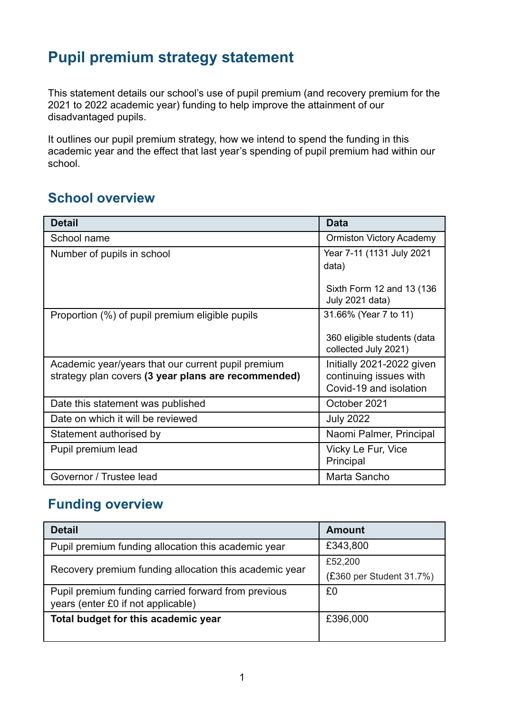# **Pupil premium strategy statement**

This statement details our school's use of pupil premium (and recovery premium for the 2021 to 2022 academic year) funding to help improve the attainment of our disadvantaged pupils.

It outlines our pupil premium strategy, how we intend to spend the funding in this academic year and the effect that last year's spending of pupil premium had within our school.

#### **School overview**

| <b>Detail</b>                                       | <b>Data</b>                                         |
|-----------------------------------------------------|-----------------------------------------------------|
| School name                                         | <b>Ormiston Victory Academy</b>                     |
| Number of pupils in school                          | Year 7-11 (1131 July 2021                           |
|                                                     | data)                                               |
|                                                     | Sixth Form 12 and 13 (136<br>July 2021 data)        |
| Proportion (%) of pupil premium eligible pupils     | 31.66% (Year 7 to 11)                               |
|                                                     | 360 eligible students (data<br>collected July 2021) |
| Academic year/years that our current pupil premium  | Initially 2021-2022 given                           |
| strategy plan covers (3 year plans are recommended) | continuing issues with<br>Covid-19 and isolation    |
| Date this statement was published                   | October 2021                                        |
| Date on which it will be reviewed                   | <b>July 2022</b>                                    |
| Statement authorised by                             | Naomi Palmer, Principal                             |
| Pupil premium lead                                  | Vicky Le Fur, Vice<br>Principal                     |
| Governor / Trustee lead                             | Marta Sancho                                        |

#### **Funding overview**

| <b>Detail</b>                                                                             | <b>Amount</b>            |
|-------------------------------------------------------------------------------------------|--------------------------|
| Pupil premium funding allocation this academic year                                       | £343,800                 |
| Recovery premium funding allocation this academic year                                    | £52,200                  |
|                                                                                           | (£360 per Student 31.7%) |
| Pupil premium funding carried forward from previous<br>years (enter £0 if not applicable) | £0                       |
| Total budget for this academic year                                                       | £396,000                 |
|                                                                                           |                          |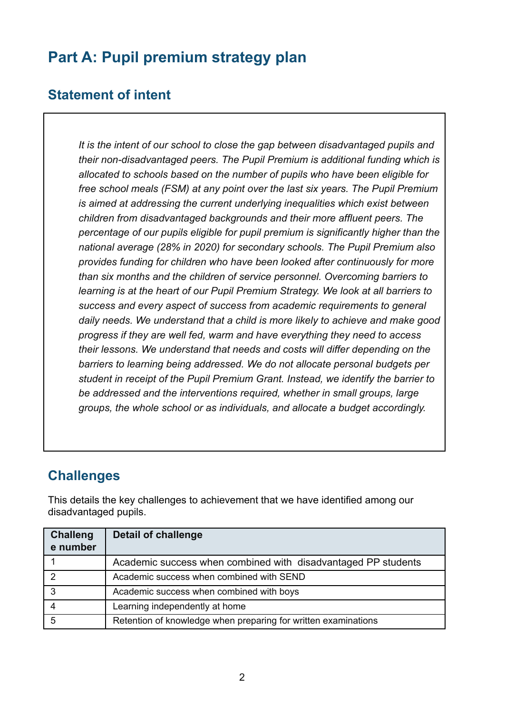# **Part A: Pupil premium strategy plan**

#### **Statement of intent**

*It is the intent of our school to close the gap between disadvantaged pupils and their non-disadvantaged peers. The Pupil Premium is additional funding which is allocated to schools based on the number of pupils who have been eligible for free school meals (FSM) at any point over the last six years. The Pupil Premium is aimed at addressing the current underlying inequalities which exist between children from disadvantaged backgrounds and their more affluent peers. The percentage of our pupils eligible for pupil premium is significantly higher than the national average (28% in 2020) for secondary schools. The Pupil Premium also provides funding for children who have been looked after continuously for more than six months and the children of service personnel. Overcoming barriers to learning is at the heart of our Pupil Premium Strategy. We look at all barriers to success and every aspect of success from academic requirements to general daily needs. We understand that a child is more likely to achieve and make good progress if they are well fed, warm and have everything they need to access their lessons. We understand that needs and costs will differ depending on the barriers to learning being addressed. We do not allocate personal budgets per student in receipt of the Pupil Premium Grant. Instead, we identify the barrier to be addressed and the interventions required, whether in small groups, large groups, the whole school or as individuals, and allocate a budget accordingly.*

#### **Challenges**

This details the key challenges to achievement that we have identified among our disadvantaged pupils.

| <b>Challeng</b><br>e number | <b>Detail of challenge</b>                                     |
|-----------------------------|----------------------------------------------------------------|
|                             | Academic success when combined with disadvantaged PP students  |
|                             | Academic success when combined with SEND                       |
| 3                           | Academic success when combined with boys                       |
|                             | Learning independently at home                                 |
|                             | Retention of knowledge when preparing for written examinations |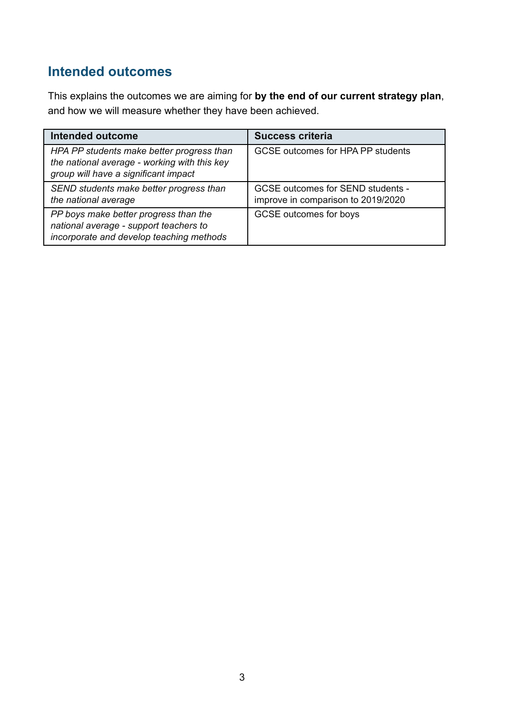## **Intended outcomes**

This explains the outcomes we are aiming for **by the end of our current strategy plan**, and how we will measure whether they have been achieved.

| <b>Intended outcome</b>                                                                                                           | <b>Success criteria</b>                                                        |
|-----------------------------------------------------------------------------------------------------------------------------------|--------------------------------------------------------------------------------|
| HPA PP students make better progress than<br>the national average - working with this key<br>group will have a significant impact | GCSE outcomes for HPA PP students                                              |
| SEND students make better progress than<br>the national average                                                                   | <b>GCSE outcomes for SEND students -</b><br>improve in comparison to 2019/2020 |
| PP boys make better progress than the<br>national average - support teachers to<br>incorporate and develop teaching methods       | GCSE outcomes for boys                                                         |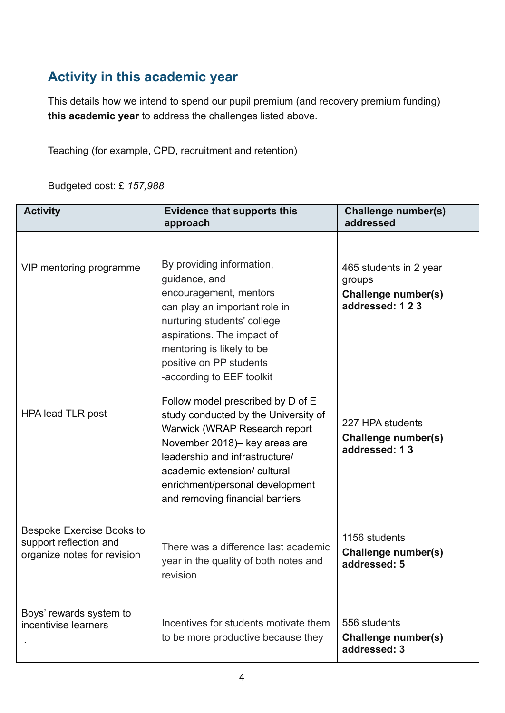## **Activity in this academic year**

This details how we intend to spend our pupil premium (and recovery premium funding) **this academic year** to address the challenges listed above.

Teaching (for example, CPD, recruitment and retention)

Budgeted cost: £ *157,988*

| <b>Activity</b>                                                                    | <b>Evidence that supports this</b><br>approach                                                                                                                                                                                                                                                                                                                                                                                           | <b>Challenge number(s)</b><br>addressed                                                                                               |
|------------------------------------------------------------------------------------|------------------------------------------------------------------------------------------------------------------------------------------------------------------------------------------------------------------------------------------------------------------------------------------------------------------------------------------------------------------------------------------------------------------------------------------|---------------------------------------------------------------------------------------------------------------------------------------|
| VIP mentoring programme<br><b>HPA lead TLR post</b>                                | By providing information,<br>guidance, and<br>encouragement, mentors<br>can play an important role in<br>nurturing students' college<br>aspirations. The impact of<br>mentoring is likely to be<br>positive on PP students<br>-according to EEF toolkit<br>Follow model prescribed by D of E<br>study conducted by the University of<br>Warwick (WRAP Research report<br>November 2018)- key areas are<br>leadership and infrastructure/ | 465 students in 2 year<br>groups<br>Challenge number(s)<br>addressed: 123<br>227 HPA students<br>Challenge number(s)<br>addressed: 13 |
| Bespoke Exercise Books to<br>support reflection and<br>organize notes for revision | academic extension/ cultural<br>enrichment/personal development<br>and removing financial barriers<br>There was a difference last academic<br>year in the quality of both notes and                                                                                                                                                                                                                                                      | 1156 students<br>Challenge number(s)<br>addressed: 5                                                                                  |
| Boys' rewards system to<br>incentivise learners                                    | revision<br>Incentives for students motivate them<br>to be more productive because they                                                                                                                                                                                                                                                                                                                                                  | 556 students<br>Challenge number(s)<br>addressed: 3                                                                                   |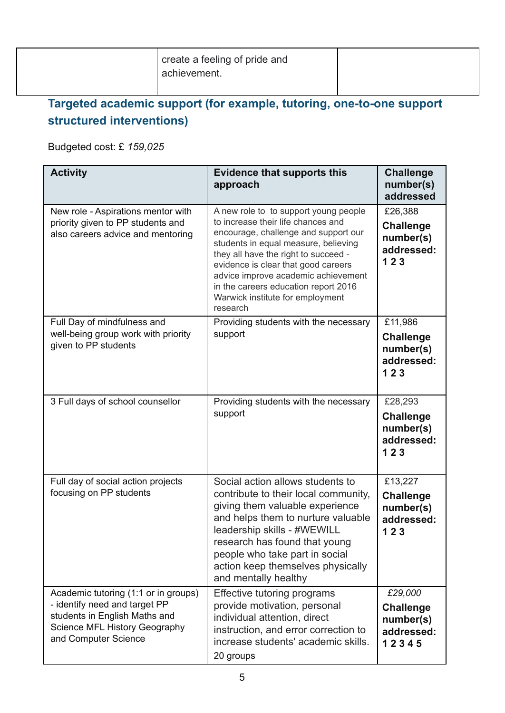| create a feeling of pride and<br>achievement. |  |
|-----------------------------------------------|--|
|                                               |  |

## **Targeted academic support (for example, tutoring, one-to-one support structured interventions)**

Budgeted cost: £ *159,025*

| <b>Activity</b>                                                                                                                                                 | <b>Evidence that supports this</b><br>approach                                                                                                                                                                                                                                                                                                                            | <b>Challenge</b><br>number(s)<br>addressed                      |
|-----------------------------------------------------------------------------------------------------------------------------------------------------------------|---------------------------------------------------------------------------------------------------------------------------------------------------------------------------------------------------------------------------------------------------------------------------------------------------------------------------------------------------------------------------|-----------------------------------------------------------------|
| New role - Aspirations mentor with<br>priority given to PP students and<br>also careers advice and mentoring                                                    | A new role to to support young people<br>to increase their life chances and<br>encourage, challenge and support our<br>students in equal measure, believing<br>they all have the right to succeed -<br>evidence is clear that good careers<br>advice improve academic achievement<br>in the careers education report 2016<br>Warwick institute for employment<br>research | £26,388<br><b>Challenge</b><br>number(s)<br>addressed:<br>123   |
| Full Day of mindfulness and<br>well-being group work with priority<br>given to PP students                                                                      | Providing students with the necessary<br>support                                                                                                                                                                                                                                                                                                                          | £11,986<br><b>Challenge</b><br>number(s)<br>addressed:<br>123   |
| 3 Full days of school counsellor                                                                                                                                | Providing students with the necessary<br>support                                                                                                                                                                                                                                                                                                                          | £28,293<br><b>Challenge</b><br>number(s)<br>addressed:<br>123   |
| Full day of social action projects<br>focusing on PP students                                                                                                   | Social action allows students to<br>contribute to their local community,<br>giving them valuable experience<br>and helps them to nurture valuable<br>leadership skills - #WEWILL<br>research has found that young<br>people who take part in social<br>action keep themselves physically<br>and mentally healthy                                                          | £13,227<br><b>Challenge</b><br>number(s)<br>addressed:<br>123   |
| Academic tutoring (1:1 or in groups)<br>- identify need and target PP<br>students in English Maths and<br>Science MFL History Geography<br>and Computer Science | Effective tutoring programs<br>provide motivation, personal<br>individual attention, direct<br>instruction, and error correction to<br>increase students' academic skills.<br>20 groups                                                                                                                                                                                   | £29,000<br><b>Challenge</b><br>number(s)<br>addressed:<br>12345 |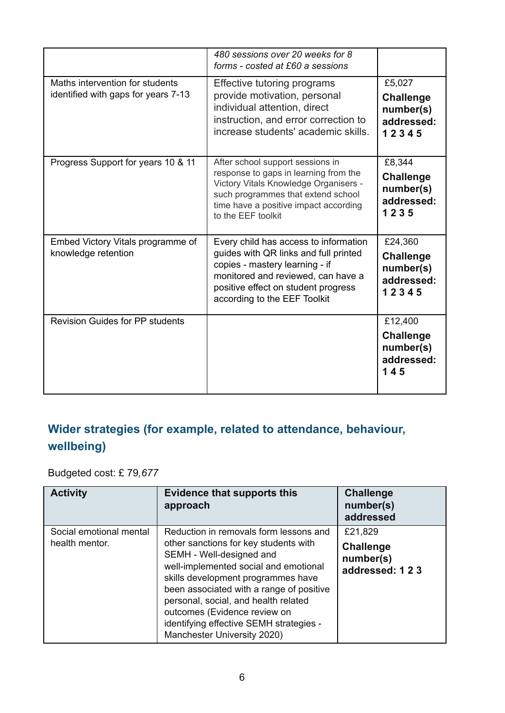|                                                                        | 480 sessions over 20 weeks for 8<br>forms - costed at £60 a sessions                                                                                                                                                          |                                                                 |
|------------------------------------------------------------------------|-------------------------------------------------------------------------------------------------------------------------------------------------------------------------------------------------------------------------------|-----------------------------------------------------------------|
| Maths intervention for students<br>identified with gaps for years 7-13 | Effective tutoring programs<br>provide motivation, personal<br>individual attention, direct<br>instruction, and error correction to<br>increase students' academic skills.                                                    | £5,027<br><b>Challenge</b><br>number(s)<br>addressed:<br>12345  |
| Progress Support for years 10 & 11                                     | After school support sessions in<br>response to gaps in learning from the<br>Victory Vitals Knowledge Organisers -<br>such programmes that extend school<br>time have a positive impact according<br>to the EEF toolkit       | £8,344<br><b>Challenge</b><br>number(s)<br>addressed:<br>1235   |
| Embed Victory Vitals programme of<br>knowledge retention               | Every child has access to information<br>guides with QR links and full printed<br>copies - mastery learning - if<br>monitored and reviewed, can have a<br>positive effect on student progress<br>according to the EEF Toolkit | £24,360<br><b>Challenge</b><br>number(s)<br>addressed:<br>12345 |
| <b>Revision Guides for PP students</b>                                 |                                                                                                                                                                                                                               | £12,400<br><b>Challenge</b><br>number(s)<br>addressed:<br>145   |

### **Wider strategies (for example, related to attendance, behaviour, wellbeing)**

Budgeted cost: £ 79*,677*

| <b>Activity</b>                           | <b>Evidence that supports this</b><br>approach                                                                                                                                                                                                                                                                                                                                           | <b>Challenge</b><br>number(s)<br>addressed                 |
|-------------------------------------------|------------------------------------------------------------------------------------------------------------------------------------------------------------------------------------------------------------------------------------------------------------------------------------------------------------------------------------------------------------------------------------------|------------------------------------------------------------|
| Social emotional mental<br>health mentor. | Reduction in removals form lessons and<br>other sanctions for key students with<br>SEMH - Well-designed and<br>well-implemented social and emotional<br>skills development programmes have<br>been associated with a range of positive<br>personal, social, and health related<br>outcomes (Evidence review on<br>identifying effective SEMH strategies -<br>Manchester University 2020) | £21,829<br><b>Challenge</b><br>number(s)<br>addressed: 123 |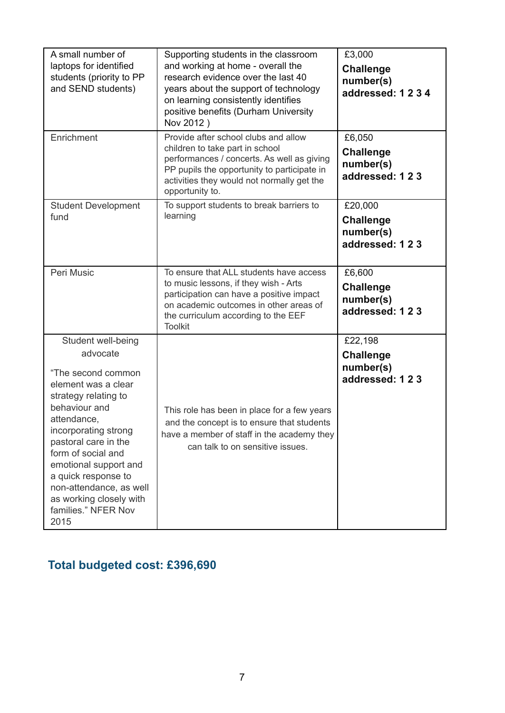| A small number of<br>laptops for identified<br>students (priority to PP<br>and SEND students)                                                                                                                                                                                                                                                  | Supporting students in the classroom<br>and working at home - overall the<br>research evidence over the last 40<br>years about the support of technology<br>on learning consistently identifies<br>positive benefits (Durham University<br>Nov 2012) | £3,000<br><b>Challenge</b><br>number(s)<br>addressed: 1234 |
|------------------------------------------------------------------------------------------------------------------------------------------------------------------------------------------------------------------------------------------------------------------------------------------------------------------------------------------------|------------------------------------------------------------------------------------------------------------------------------------------------------------------------------------------------------------------------------------------------------|------------------------------------------------------------|
| Enrichment                                                                                                                                                                                                                                                                                                                                     | Provide after school clubs and allow<br>children to take part in school<br>performances / concerts. As well as giving<br>PP pupils the opportunity to participate in<br>activities they would not normally get the<br>opportunity to.                | £6,050<br><b>Challenge</b><br>number(s)<br>addressed: 123  |
| <b>Student Development</b><br>fund                                                                                                                                                                                                                                                                                                             | To support students to break barriers to<br>learning                                                                                                                                                                                                 | £20,000<br><b>Challenge</b><br>number(s)<br>addressed: 123 |
| Peri Music                                                                                                                                                                                                                                                                                                                                     | To ensure that ALL students have access<br>to music lessons, if they wish - Arts<br>participation can have a positive impact<br>on academic outcomes in other areas of<br>the curriculum according to the EEF<br><b>Toolkit</b>                      | £6,600<br><b>Challenge</b><br>number(s)<br>addressed: 123  |
| Student well-being<br>advocate<br>"The second common<br>element was a clear<br>strategy relating to<br>behaviour and<br>attendance,<br>incorporating strong<br>pastoral care in the<br>form of social and<br>emotional support and<br>a quick response to<br>non-attendance, as well<br>as working closely with<br>families." NFER Nov<br>2015 | This role has been in place for a few years<br>and the concept is to ensure that students<br>have a member of staff in the academy they<br>can talk to on sensitive issues.                                                                          | £22,198<br><b>Challenge</b><br>number(s)<br>addressed: 123 |

# **Total budgeted cost: £396,690**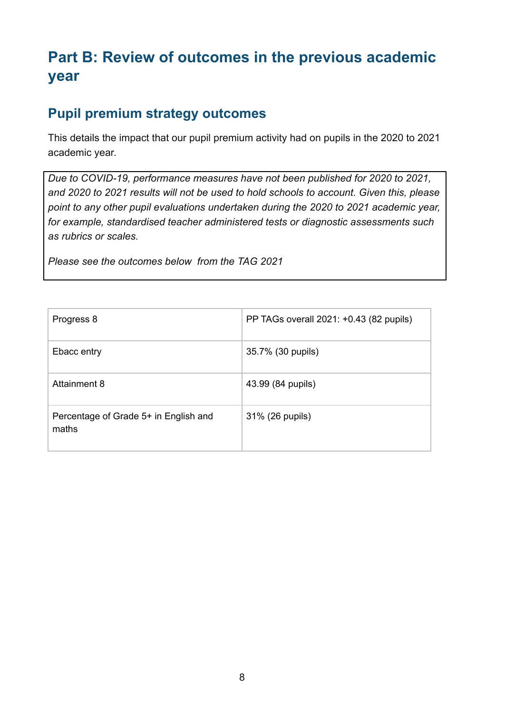# **Part B: Review of outcomes in the previous academic year**

## **Pupil premium strategy outcomes**

This details the impact that our pupil premium activity had on pupils in the 2020 to 2021 academic year.

*Due to COVID-19, performance measures have not been published for 2020 to 2021, and 2020 to 2021 results will not be used to hold schools to account. Given this, please point to any other pupil evaluations undertaken during the 2020 to 2021 academic year, for example, standardised teacher administered tests or diagnostic assessments such as rubrics or scales.*

*Please see the outcomes below from the TAG 2021*

| Progress 8                                     | PP TAGs overall 2021: +0.43 (82 pupils) |
|------------------------------------------------|-----------------------------------------|
| Ebacc entry                                    | 35.7% (30 pupils)                       |
| Attainment 8                                   | 43.99 (84 pupils)                       |
| Percentage of Grade 5+ in English and<br>maths | 31% (26 pupils)                         |